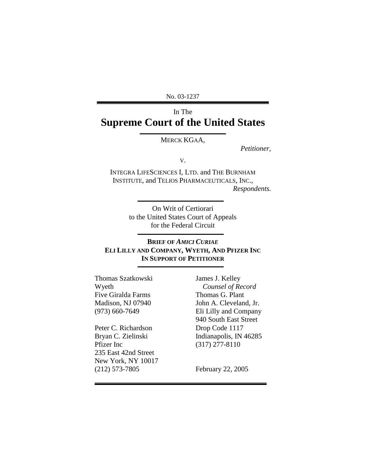No. 03-1237

# In The **Supreme Court of the United States**

MERCK KGAA,

*Petitioner,* 

V.

INTEGRA LIFESCIENCES I, LTD. and THE BURNHAM INSTITUTE, and TELIOS PHARMACEUTICALS, INC., *Respondents.* 

> On Writ of Certiorari to the United States Court of Appeals for the Federal Circuit

## **BRIEF OF** *AMICI CURIAE* **ELI LILLY AND COMPANY, WYETH, AND PFIZER INC IN SUPPORT OF PETITIONER**

Thomas Szatkowski Wyeth Five Giralda Farms Madison, NJ 07940 (973) 660-7649

Peter C. Richardson Bryan C. Zielinski Pfizer Inc 235 East 42nd Street New York, NY 10017 (212) 573-7805

James J. Kelley *Counsel of Record*  Thomas G. Plant John A. Cleveland, Jr. Eli Lilly and Company 940 South East Street Drop Code 1117 Indianapolis, IN 46285 (317) 277-8110

February 22, 2005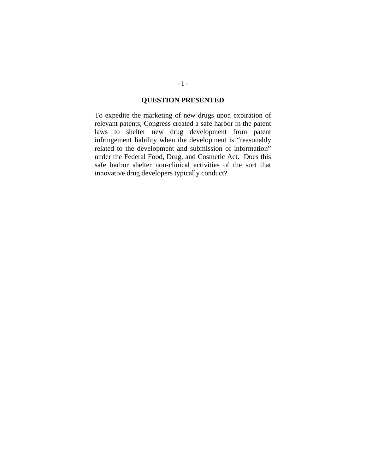## **QUESTION PRESENTED**

<span id="page-1-0"></span>To expedite the marketing of new drugs upon expiration of relevant patents, Congress created a safe harbor in the patent laws to shelter new drug development from patent infringement liability when the development is "reasonably related to the development and submission of information" under the Federal Food, Drug, and Cosmetic Act. Does this safe harbor shelter non-clinical activities of the sort that innovative drug developers typically conduct?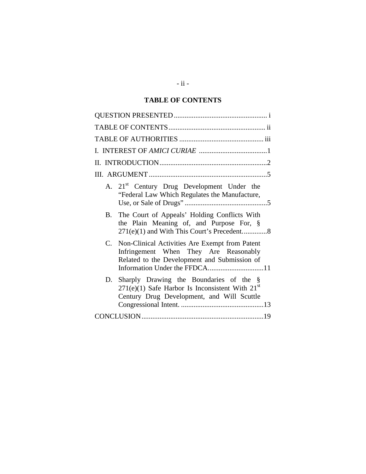## **TABLE OF CONTENTS**

| A. 21 <sup>st</sup> Century Drug Development Under the<br>"Federal Law Which Regulates the Manufacture,                                         |
|-------------------------------------------------------------------------------------------------------------------------------------------------|
| The Court of Appeals' Holding Conflicts With<br>B.<br>the Plain Meaning of, and Purpose For, §<br>271(e)(1) and With This Court's Precedent8    |
| C. Non-Clinical Activities Are Exempt from Patent<br>Infringement When They Are Reasonably<br>Related to the Development and Submission of      |
| D. Sharply Drawing the Boundaries of the §<br>$271(e)(1)$ Safe Harbor Is Inconsistent With $21st$<br>Century Drug Development, and Will Scuttle |
|                                                                                                                                                 |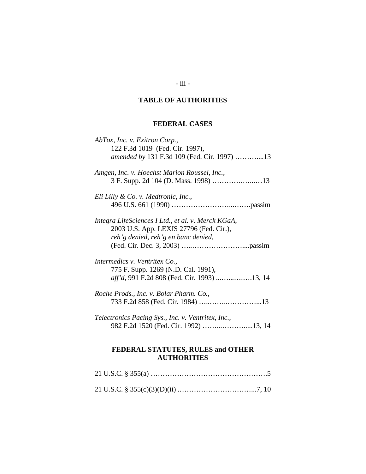# **TABLE OF AUTHORITIES**

# **FEDERAL CASES**

<span id="page-3-0"></span>

| AbTox, Inc. v. Exitron Corp.,                           |  |
|---------------------------------------------------------|--|
| 122 F.3d 1019 (Fed. Cir. 1997),                         |  |
| amended by 131 F.3d 109 (Fed. Cir. 1997) 13             |  |
| Amgen, Inc. v. Hoechst Marion Roussel, Inc.,            |  |
|                                                         |  |
| Eli Lilly & Co. v. Medtronic, Inc.,                     |  |
|                                                         |  |
| Integra LifeSciences I Ltd., et al. v. Merck KGaA,      |  |
| 2003 U.S. App. LEXIS 27796 (Fed. Cir.),                 |  |
| reh'g denied, reh'g en banc denied,                     |  |
|                                                         |  |
| Intermedics v. Ventritex Co.,                           |  |
| 775 F. Supp. 1269 (N.D. Cal. 1991),                     |  |
| aff'd, 991 F.2d 808 (Fed. Cir. 1993) 13, 14             |  |
| Roche Prods., Inc. v. Bolar Pharm. Co.,                 |  |
|                                                         |  |
| Telectronics Pacing Sys., Inc. v. Ventritex, Inc.,      |  |
|                                                         |  |
| FEDERAL STATUTES, RULES and OTHER<br><b>AUTHORITIES</b> |  |
|                                                         |  |

- iii -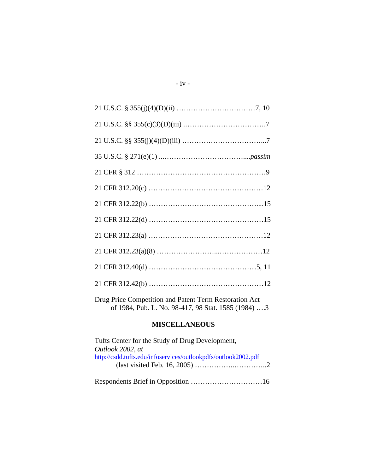Drug Price Competition and Patent Term Restoration Act of 1984, Pub. L. No. 98-417, 98 Stat. 1585 (1984) ….3

### **MISCELLANEOUS**

| Tufts Center for the Study of Drug Development,                |
|----------------------------------------------------------------|
| Outlook 2002, at                                               |
| http://csdd.tufts.edu/infoservices/outlookpdfs/outlook2002.pdf |
|                                                                |
|                                                                |
|                                                                |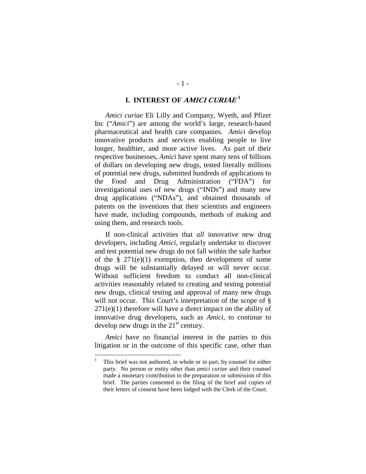### **I. INTEREST OF AMICI CURIAE <sup>1</sup>**

<span id="page-5-0"></span>*Amici curiae* Eli Lilly and Company, Wyeth, and Pfizer Inc ("*Amici*") are among the world's large, research-based pharmaceutical and health care companies. *Amici* develop innovative products and services enabling people to live longer, healthier, and more active lives. As part of their respective businesses, *Amici* have spent many tens of billions of dollars on developing new drugs, tested literally millions of potential new drugs, submitted hundreds of applications to the Food and Drug Administration ("FDA") for investigational uses of new drugs ("INDs") and many new drug applications ("NDAs"), and obtained thousands of patents on the inventions that their scientists and engineers have made, including compounds, methods of making and using them, and research tools.

If non-clinical activities that *all* innovative new drug developers, including *Amici*, regularly undertake to discover and test potential new drugs do not fall within the safe harbor of the  $\S 271(e)(1)$  exemption, then development of some drugs will be substantially delayed or will never occur. Without sufficient freedom to conduct all non-clinical activities reasonably related to creating and testing potential new drugs, clinical testing and approval of many new drugs will not occur. This Court's interpretation of the scope of  $\S$  $271(e)(1)$  therefore will have a direct impact on the ability of innovative drug developers, such as *Amici*, to continue to develop new drugs in the  $21<sup>st</sup>$  century.

*Amici* have no financial interest in the parties to this litigation or in the outcome of this specific case, other than

 $\overline{a}$ 

<sup>1</sup> This brief was not authored, in whole or in part, by counsel for either party. No person or entity other than *amici curiae* and their counsel made a monetary contribution to the preparation or submission of this brief. The parties consented to the filing of the brief and copies of their letters of consent have been lodged with the Clerk of the Court.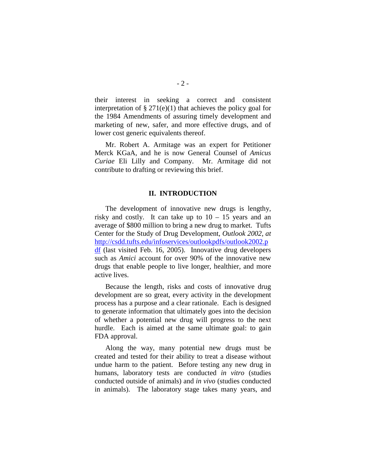<span id="page-6-0"></span>their interest in seeking a correct and consistent interpretation of  $\S 271(e)(1)$  that achieves the policy goal for the 1984 Amendments of assuring timely development and marketing of new, safer, and more effective drugs, and of lower cost generic equivalents thereof.

Mr. Robert A. Armitage was an expert for Petitioner Merck KGaA, and he is now General Counsel of *Amicus Curiae* Eli Lilly and Company. Mr. Armitage did not contribute to drafting or reviewing this brief.

#### **II. INTRODUCTION**

The development of innovative new drugs is lengthy, risky and costly. It can take up to  $10 - 15$  years and an average of \$800 million to bring a new drug to market. Tufts Center for the Study of Drug Development, *Outlook 2002, at*  [http://csdd.tufts.edu/infoservices/outlookpdfs/outlook2002.p](http://csdd.tufts.edu/infoservices/outlookpdfs/outlook2002.pdf) df (last visited Feb. 16, 2005). Innovative drug developers such as *Amici* account for over 90% of the innovative new drugs that enable people to live longer, healthier, and more active lives.

Because the length, risks and costs of innovative drug development are so great, every activity in the development process has a purpose and a clear rationale. Each is designed to generate information that ultimately goes into the decision of whether a potential new drug will progress to the next hurdle. Each is aimed at the same ultimate goal: to gain FDA approval.

Along the way, many potential new drugs must be created and tested for their ability to treat a disease without undue harm to the patient. Before testing any new drug in humans, laboratory tests are conducted *in vitro* (studies conducted outside of animals) and *in vivo* (studies conducted in animals). The laboratory stage takes many years, and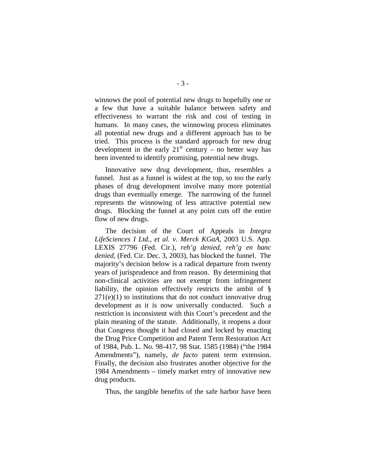winnows the pool of potential new drugs to hopefully one or a few that have a suitable balance between safety and effectiveness to warrant the risk and cost of testing in humans. In many cases, the winnowing process eliminates all potential new drugs and a different approach has to be tried. This process is the standard approach for new drug development in the early  $21^{st}$  century – no better way has been invented to identify promising, potential new drugs.

Innovative new drug development, thus, resembles a funnel. Just as a funnel is widest at the top, so too the early phases of drug development involve many more potential drugs than eventually emerge. The narrowing of the funnel represents the winnowing of less attractive potential new drugs. Blocking the funnel at any point cuts off the entire flow of new drugs.

The decision of the Court of Appeals in *Integra LifeSciences I Ltd., et al. v. Merck KGaA*, 2003 U.S. App. LEXIS 27796 (Fed. Cir.), *reh'g denied, reh'g en banc denied,* (Fed. Cir. Dec. 3, 2003), has blocked the funnel. The majority's decision below is a radical departure from twenty years of jurisprudence and from reason. By determining that non-clinical activities are not exempt from infringement liability, the opinion effectively restricts the ambit of §  $271(e)(1)$  to institutions that do not conduct innovative drug development as it is now universally conducted. Such a restriction is inconsistent with this Court's precedent and the plain meaning of the statute. Additionally, it reopens a door that Congress thought it had closed and locked by enacting the Drug Price Competition and Patent Term Restoration Act of 1984, Pub. L. No. 98-417, 98 Stat. 1585 (1984) ("the 1984 Amendments"), namely, *de facto* patent term extension. Finally, the decision also frustrates another objective for the 1984 Amendments – timely market entry of innovative new drug products.

Thus, the tangible benefits of the safe harbor have been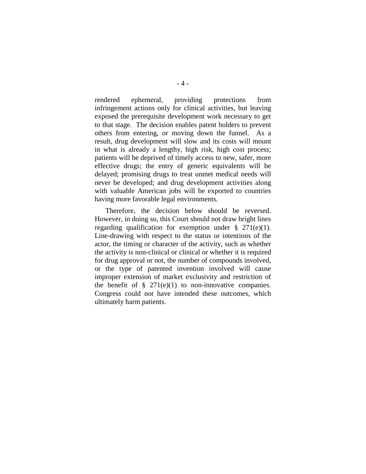rendered ephemeral, providing protections from infringement actions only for clinical activities, but leaving exposed the prerequisite development work necessary to get to that stage. The decision enables patent holders to prevent others from entering, or moving down the funnel. As a result, drug development will slow and its costs will mount in what is already a lengthy, high risk, high cost process; patients will be deprived of timely access to new, safer, more effective drugs; the entry of generic equivalents will be delayed; promising drugs to treat unmet medical needs will never be developed; and drug development activities along with valuable American jobs will be exported to countries having more favorable legal environments.

Therefore, the decision below should be reversed. However, in doing so, this Court should not draw bright lines regarding qualification for exemption under  $\S$  271(e)(1). Line-drawing with respect to the status or intentions of the actor, the timing or character of the activity, such as whether the activity is non-clinical or clinical or whether it is required for drug approval or not, the number of compounds involved, or the type of patented invention involved will cause improper extension of market exclusivity and restriction of the benefit of  $\S$  271(e)(1) to non-innovative companies. Congress could not have intended these outcomes, which ultimately harm patients.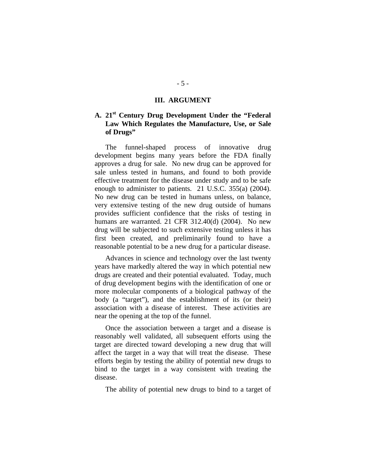#### **III. ARGUMENT**

## <span id="page-9-0"></span>**A. 21st Century Drug Development Under the "Federal Law Which Regulates the Manufacture, Use, or Sale of Drugs"**

The funnel-shaped process of innovative drug development begins many years before the FDA finally approves a drug for sale. No new drug can be approved for sale unless tested in humans, and found to both provide effective treatment for the disease under study and to be safe enough to administer to patients. 21 U.S.C. 355(a) (2004). No new drug can be tested in humans unless, on balance, very extensive testing of the new drug outside of humans provides sufficient confidence that the risks of testing in humans are warranted. 21 CFR 312.40(d) (2004). No new drug will be subjected to such extensive testing unless it has first been created, and preliminarily found to have a reasonable potential to be a new drug for a particular disease.

Advances in science and technology over the last twenty years have markedly altered the way in which potential new drugs are created and their potential evaluated. Today, much of drug development begins with the identification of one or more molecular components of a biological pathway of the body (a "target"), and the establishment of its (or their) association with a disease of interest. These activities are near the opening at the top of the funnel.

Once the association between a target and a disease is reasonably well validated, all subsequent efforts using the target are directed toward developing a new drug that will affect the target in a way that will treat the disease. These efforts begin by testing the ability of potential new drugs to bind to the target in a way consistent with treating the disease.

The ability of potential new drugs to bind to a target of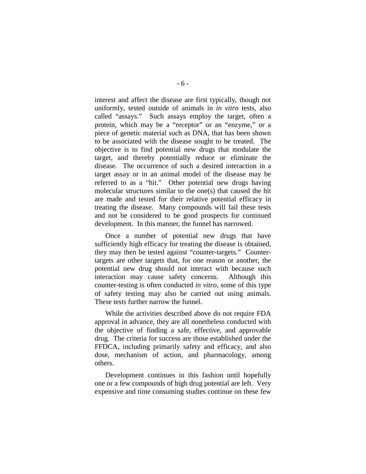interest and affect the disease are first typically, though not uniformly, tested outside of animals in *in vitro* tests, also called "assays." Such assays employ the target, often a protein, which may be a "receptor" or an "enzyme," or a piece of genetic material such as DNA, that has been shown to be associated with the disease sought to be treated. The objective is to find potential new drugs that modulate the target, and thereby potentially reduce or eliminate the disease. The occurrence of such a desired interaction in a target assay or in an animal model of the disease may be referred to as a "hit." Other potential new drugs having molecular structures similar to the one(s) that caused the hit are made and tested for their relative potential efficacy in treating the disease. Many compounds will fail these tests and not be considered to be good prospects for continued development. In this manner, the funnel has narrowed.

Once a number of potential new drugs that have sufficiently high efficacy for treating the disease is obtained, they may then be tested against "counter-targets." Countertargets are other targets that, for one reason or another, the potential new drug should not interact with because such interaction may cause safety concerns. Although this counter-testing is often conducted *in vitro,* some of this type of safety testing may also be carried out using animals. These tests further narrow the funnel.

While the activities described above do not require FDA approval in advance, they are all nonetheless conducted with the objective of finding a safe, effective, and approvable drug. The criteria for success are those established under the FFDCA, including primarily safety and efficacy, and also dose, mechanism of action, and pharmacology, among others.

Development continues in this fashion until hopefully one or a few compounds of high drug potential are left. Very expensive and time consuming studies continue on these few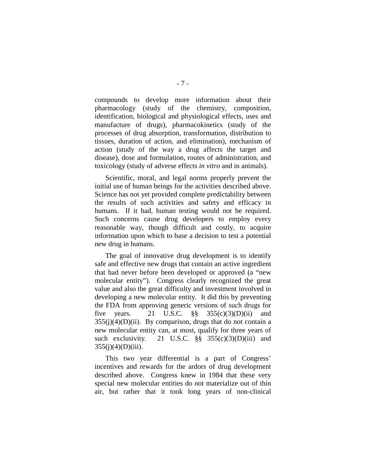compounds to develop more information about their pharmacology (study of the chemistry, composition, identification, biological and physiological effects, uses and manufacture of drugs), pharmacokinetics (study of the processes of drug absorption, transformation, distribution to tissues, duration of action, and elimination), mechanism of action (study of the way a drug affects the target and disease), dose and formulation, routes of administration, and toxicology (study of adverse effects *in vitro* and in animals).

Scientific, moral, and legal norms properly prevent the initial use of human beings for the activities described above. Science has not yet provided complete predictability between the results of such activities and safety and efficacy in humans. If it had, human testing would not be required. Such concerns cause drug developers to employ every reasonable way, though difficult and costly, to acquire information upon which to base a decision to test a potential new drug in humans.

The goal of innovative drug development is to identify safe and effective new drugs that contain an active ingredient that had never before been developed or approved (a "new molecular entity"). Congress clearly recognized the great value and also the great difficulty and investment involved in developing a new molecular entity. It did this by preventing the FDA from approving generic versions of such drugs for five years. 21 U.S.C.  $\S$ ,  $\S$   $355(c)(3)(D)(ii)$  and  $355(j)(4)(D)(ii)$ . By comparison, drugs that do not contain a new molecular entity can, at most, qualify for three years of such exclusivity. 21 U.S.C.  $\S$ § 355(c)(3)(D)(iii) and  $355(i)(4)(D)(iii)$ .

This two year differential is a part of Congress' incentives and rewards for the ardors of drug development described above. Congress knew in 1984 that these very special new molecular entities do not materialize out of thin air, but rather that it took long years of non-clinical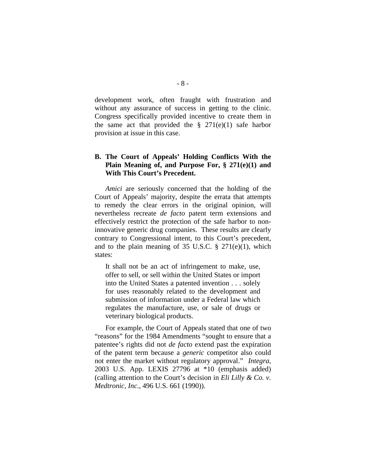<span id="page-12-0"></span>development work, often fraught with frustration and without any assurance of success in getting to the clinic. Congress specifically provided incentive to create them in the same act that provided the  $\S$  271(e)(1) safe harbor provision at issue in this case.

#### **B. The Court of Appeals' Holding Conflicts With the Plain Meaning of, and Purpose For, § 271(e)(1) and With This Court's Precedent.**

*Amici* are seriously concerned that the holding of the Court of Appeals' majority, despite the errata that attempts to remedy the clear errors in the original opinion, will nevertheless recreate *de facto* patent term extensions and effectively restrict the protection of the safe harbor to noninnovative generic drug companies. These results are clearly contrary to Congressional intent, to this Court's precedent, and to the plain meaning of 35 U.S.C.  $\S$  271(e)(1), which states:

It shall not be an act of infringement to make, use, offer to sell, or sell within the United States or import into the United States a patented invention . . . solely for uses reasonably related to the development and submission of information under a Federal law which regulates the manufacture, use, or sale of drugs or veterinary biological products.

For example, the Court of Appeals stated that one of two "reasons" for the 1984 Amendments "sought to ensure that a patentee's rights did not *de facto* extend past the expiration of the patent term because a *generic* competitor also could not enter the market without regulatory approval." *Integra,*  2003 U.S. App. LEXIS 27796 at \*10 (emphasis added) (calling attention to the Court's decision in *Eli Lilly & Co. v. Medtronic, Inc.,* 496 U.S. 661 (1990)).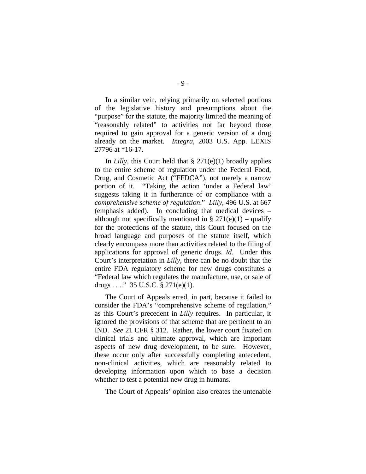In a similar vein, relying primarily on selected portions of the legislative history and presumptions about the "purpose" for the statute, the majority limited the meaning of "reasonably related" to activities not far beyond those required to gain approval for a generic version of a drug already on the market. *Integra*, 2003 U.S. App. LEXIS 27796 at \*16-17.

In *Lilly*, this Court held that  $\S 271(e)(1)$  broadly applies to the entire scheme of regulation under the Federal Food, Drug, and Cosmetic Act ("FFDCA"), not merely a narrow portion of it. "Taking the action 'under a Federal law' suggests taking it in furtherance of or compliance with a *comprehensive scheme of regulation*." *Lilly*, 496 U.S. at 667 (emphasis added). In concluding that medical devices – although not specifically mentioned in §  $271(e)(1)$  – qualify for the protections of the statute, this Court focused on the broad language and purposes of the statute itself, which clearly encompass more than activities related to the filing of applications for approval of generic drugs. *Id*. Under this Court's interpretation in *Lilly*, there can be no doubt that the entire FDA regulatory scheme for new drugs constitutes a "Federal law which regulates the manufacture, use, or sale of drugs . . ..." 35 U.S.C.  $\S 271(e)(1)$ .

The Court of Appeals erred, in part, because it failed to consider the FDA's "comprehensive scheme of regulation," as this Court's precedent in *Lilly* requires. In particular, it ignored the provisions of that scheme that are pertinent to an IND. *See* 21 CFR § 312. Rather, the lower court fixated on clinical trials and ultimate approval, which are important aspects of new drug development, to be sure. However, these occur only after successfully completing antecedent, non-clinical activities, which are reasonably related to developing information upon which to base a decision whether to test a potential new drug in humans.

The Court of Appeals' opinion also creates the untenable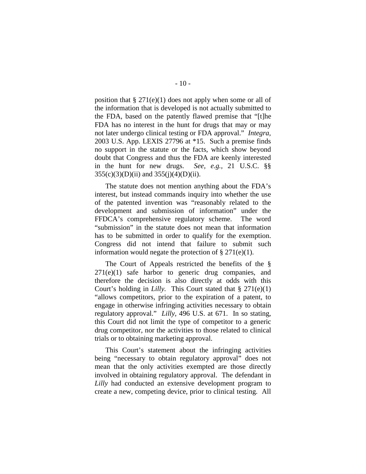position that  $\S 271(e)(1)$  does not apply when some or all of the information that is developed is not actually submitted to the FDA, based on the patently flawed premise that "[t]he FDA has no interest in the hunt for drugs that may or may not later undergo clinical testing or FDA approval." *Integra,*  2003 U.S. App. LEXIS 27796 at \*15. Such a premise finds no support in the statute or the facts, which show beyond doubt that Congress and thus the FDA are keenly interested in the hunt for new drugs. *See, e.g.,* 21 U.S.C. §§  $355(c)(3)(D)(ii)$  and  $355(i)(4)(D)(ii)$ .

The statute does not mention anything about the FDA's interest, but instead commands inquiry into whether the use of the patented invention was "reasonably related to the development and submission of information" under the FFDCA's comprehensive regulatory scheme. The word "submission" in the statute does not mean that information has to be submitted in order to qualify for the exemption. Congress did not intend that failure to submit such information would negate the protection of  $\S 271(e)(1)$ .

The Court of Appeals restricted the benefits of the §  $271(e)(1)$  safe harbor to generic drug companies, and therefore the decision is also directly at odds with this Court's holding in *Lilly.* This Court stated that § 271(e)(1) "allows competitors, prior to the expiration of a patent, to engage in otherwise infringing activities necessary to obtain regulatory approval." *Lilly,* 496 U.S. at 671. In so stating, this Court did not limit the type of competitor to a generic drug competitor, nor the activities to those related to clinical trials or to obtaining marketing approval.

This Court's statement about the infringing activities being "necessary to obtain regulatory approval" does not mean that the only activities exempted are those directly involved in obtaining regulatory approval. The defendant in *Lilly* had conducted an extensive development program to create a new, competing device, prior to clinical testing. All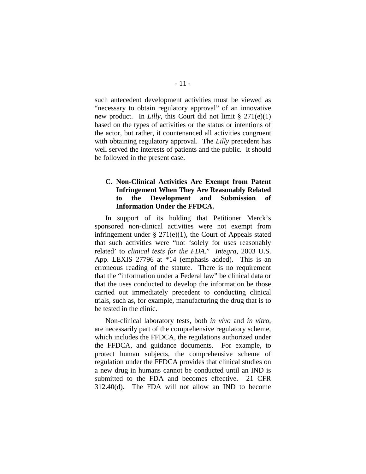<span id="page-15-0"></span>such antecedent development activities must be viewed as "necessary to obtain regulatory approval" of an innovative new product. In *Lilly*, this Court did not limit § 271(e)(1) based on the types of activities or the status or intentions of the actor, but rather, it countenanced all activities congruent with obtaining regulatory approval. The *Lilly* precedent has well served the interests of patients and the public. It should be followed in the present case.

#### **C. Non-Clinical Activities Are Exempt from Patent Infringement When They Are Reasonably Related to the Development and Submission of Information Under the FFDCA.**

In support of its holding that Petitioner Merck's sponsored non-clinical activities were not exempt from infringement under  $\S 271(e)(1)$ , the Court of Appeals stated that such activities were "not 'solely for uses reasonably related' to *clinical tests for the FDA.*" *Integra*, 2003 U.S. App. LEXIS 27796 at \*14 (emphasis added). This is an erroneous reading of the statute. There is no requirement that the "information under a Federal law" be clinical data or that the uses conducted to develop the information be those carried out immediately precedent to conducting clinical trials, such as, for example, manufacturing the drug that is to be tested in the clinic.

Non-clinical laboratory tests, both *in vivo* and *in vitro*, are necessarily part of the comprehensive regulatory scheme, which includes the FFDCA, the regulations authorized under the FFDCA, and guidance documents. For example, to protect human subjects, the comprehensive scheme of regulation under the FFDCA provides that clinical studies on a new drug in humans cannot be conducted until an IND is submitted to the FDA and becomes effective. 21 CFR 312.40(d). The FDA will not allow an IND to become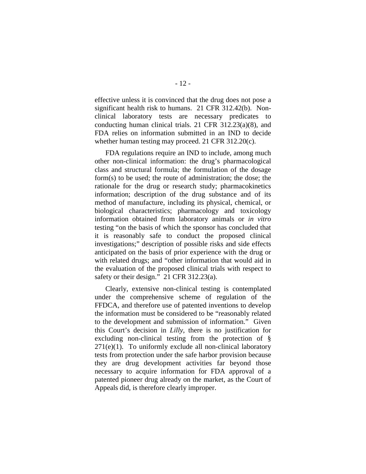effective unless it is convinced that the drug does not pose a significant health risk to humans. 21 CFR 312.42(b). Nonclinical laboratory tests are necessary predicates to conducting human clinical trials. 21 CFR 312.23(a)(8), and FDA relies on information submitted in an IND to decide whether human testing may proceed. 21 CFR 312.20(c).

FDA regulations require an IND to include, among much other non-clinical information: the drug's pharmacological class and structural formula; the formulation of the dosage form(s) to be used; the route of administration; the dose; the rationale for the drug or research study; pharmacokinetics information; description of the drug substance and of its method of manufacture, including its physical, chemical, or biological characteristics; pharmacology and toxicology information obtained from laboratory animals or *in vitro* testing "on the basis of which the sponsor has concluded that it is reasonably safe to conduct the proposed clinical investigations;" description of possible risks and side effects anticipated on the basis of prior experience with the drug or with related drugs; and "other information that would aid in the evaluation of the proposed clinical trials with respect to safety or their design." 21 CFR 312.23(a).

Clearly, extensive non-clinical testing is contemplated under the comprehensive scheme of regulation of the FFDCA, and therefore use of patented inventions to develop the information must be considered to be "reasonably related to the development and submission of information." Given this Court's decision in *Lilly*, there is no justification for excluding non-clinical testing from the protection of §  $271(e)(1)$ . To uniformly exclude all non-clinical laboratory tests from protection under the safe harbor provision because they are drug development activities far beyond those necessary to acquire information for FDA approval of a patented pioneer drug already on the market, as the Court of Appeals did, is therefore clearly improper.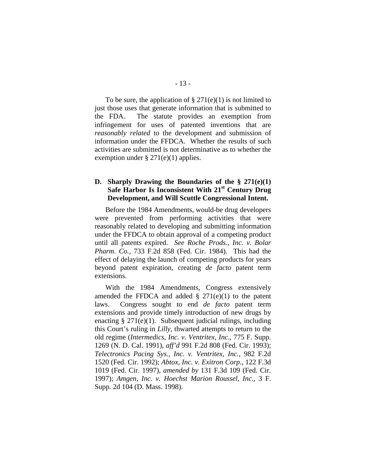<span id="page-17-0"></span>To be sure, the application of  $\S 271(e)(1)$  is not limited to just those uses that generate information that is submitted to the FDA. The statute provides an exemption from infringement for uses of patented inventions that are *reasonably related* to the development and submission of information under the FFDCA. Whether the results of such activities are submitted is not determinative as to whether the exemption under  $\S 271(e)(1)$  applies.

#### **D. Sharply Drawing the Boundaries of the § 271(e)(1)**  Safe Harbor Is Inconsistent With 21<sup>st</sup> Century Drug **Development, and Will Scuttle Congressional Intent.**

Before the 1984 Amendments, would-be drug developers were prevented from performing activities that were reasonably related to developing and submitting information under the FFDCA to obtain approval of a competing product until all patents expired. *See Roche Prods., Inc. v. Bolar Pharm. Co.,* 733 F.2d 858 (Fed. Cir. 1984). This had the effect of delaying the launch of competing products for years beyond patent expiration, creating *de facto* patent term extensions.

With the 1984 Amendments, Congress extensively amended the FFDCA and added  $\S$  271(e)(1) to the patent laws. Congress sought to end *de facto* patent term extensions and provide timely introduction of new drugs by enacting  $\S 271(e)(1)$ . Subsequent judicial rulings, including this Court's ruling in *Lilly*, thwarted attempts to return to the old regime (*Intermedics, Inc. v. Ventritex, Inc*., 775 F. Supp. 1269 (N. D. Cal. 1991), *aff'd* 991 F.2d 808 (Fed. Cir. 1993); *Telectronics Pacing Sys., Inc. v. Ventritex, Inc.,* 982 F.2d 1520 (Fed. Cir. 1992); *Abtox, Inc. v. Exitron Corp*., 122 F.3d 1019 (Fed. Cir. 1997), *amended by* 131 F.3d 109 (Fed. Cir. 1997); *Amgen, Inc. v. Hoechst Marion Roussel, Inc.,* 3 F. Supp. 2d 104 (D. Mass. 1998).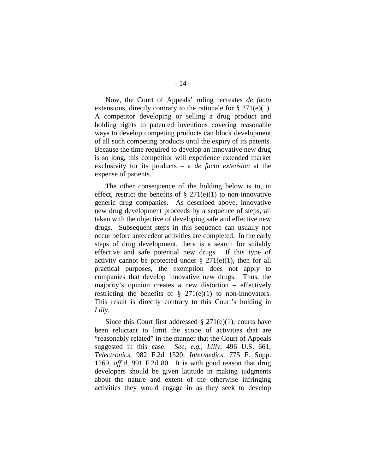Now, the Court of Appeals' ruling recreates *de facto*  extensions, directly contrary to the rationale for  $\S 271(e)(1)$ . A competitor developing or selling a drug product and holding rights to patented inventions covering reasonable ways to develop competing products can block development of all such competing products until the expiry of its patents. Because the time required to develop an innovative new drug is so long, this competitor will experience extended market exclusivity for its products – a *de facto extension* at the expense of patients.

The other consequence of the holding below is to, in effect, restrict the benefits of  $\S 271(e)(1)$  to non-innovative generic drug companies. As described above, innovative new drug development proceeds by a sequence of steps, all taken with the objective of developing safe and effective new drugs. Subsequent steps in this sequence can usually not occur before antecedent activities are completed. In the early steps of drug development, there is a search for suitably effective and safe potential new drugs. If this type of activity cannot be protected under  $\S 271(e)(1)$ , then for all practical purposes, the exemption does not apply to companies that develop innovative new drugs. Thus, the majority's opinion creates a new distortion – effectively restricting the benefits of  $\S$  271(e)(1) to non-innovators. This result is directly contrary to this Court's holding in *Lilly*.

Since this Court first addressed  $\S 271(e)(1)$ , courts have been reluctant to limit the scope of activities that are "reasonably related" in the manner that the Court of Appeals suggested in this case. *See, e.g., Lilly*, 496 U.S. 661; *Telectronics,* 982 F.2d 1520; *Intermedics,* 775 F. Supp. 1269, *aff'd,* 991 F.2d 80. It is with good reason that drug developers should be given latitude in making judgments about the nature and extent of the otherwise infringing activities they would engage in as they seek to develop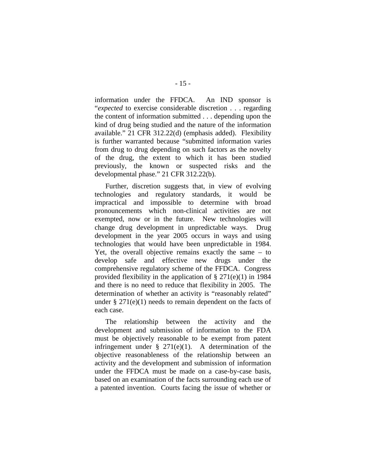information under the FFDCA. An IND sponsor is "*expected* to exercise considerable discretion . . . regarding the content of information submitted . . . depending upon the kind of drug being studied and the nature of the information available." 21 CFR 312.22(d) (emphasis added). Flexibility is further warranted because "submitted information varies from drug to drug depending on such factors as the novelty of the drug, the extent to which it has been studied previously, the known or suspected risks and the developmental phase." 21 CFR 312.22(b).

Further, discretion suggests that, in view of evolving technologies and regulatory standards, it would be impractical and impossible to determine with broad pronouncements which non-clinical activities are not exempted, now or in the future. New technologies will change drug development in unpredictable ways. Drug development in the year 2005 occurs in ways and using technologies that would have been unpredictable in 1984. Yet, the overall objective remains exactly the same – to develop safe and effective new drugs under the comprehensive regulatory scheme of the FFDCA. Congress provided flexibility in the application of  $\S 271(e)(1)$  in 1984 and there is no need to reduce that flexibility in 2005. The determination of whether an activity is "reasonably related" under  $\S 271(e)(1)$  needs to remain dependent on the facts of each case.

The relationship between the activity and the development and submission of information to the FDA must be objectively reasonable to be exempt from patent infringement under  $\S$  271(e)(1). A determination of the objective reasonableness of the relationship between an activity and the development and submission of information under the FFDCA must be made on a case-by-case basis, based on an examination of the facts surrounding each use of a patented invention. Courts facing the issue of whether or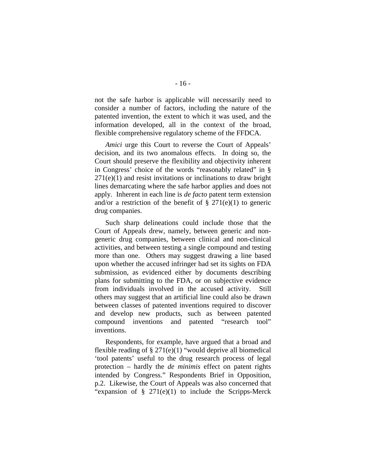not the safe harbor is applicable will necessarily need to consider a number of factors, including the nature of the patented invention, the extent to which it was used, and the information developed, all in the context of the broad, flexible comprehensive regulatory scheme of the FFDCA.

*Amici* urge this Court to reverse the Court of Appeals' decision, and its two anomalous effects. In doing so, the Court should preserve the flexibility and objectivity inherent in Congress' choice of the words "reasonably related" in §  $271(e)(1)$  and resist invitations or inclinations to draw bright lines demarcating where the safe harbor applies and does not apply. Inherent in each line is *de facto* patent term extension and/or a restriction of the benefit of  $\S 271(e)(1)$  to generic drug companies.

Such sharp delineations could include those that the Court of Appeals drew, namely, between generic and nongeneric drug companies, between clinical and non-clinical activities, and between testing a single compound and testing more than one. Others may suggest drawing a line based upon whether the accused infringer had set its sights on FDA submission, as evidenced either by documents describing plans for submitting to the FDA, or on subjective evidence from individuals involved in the accused activity. Still others may suggest that an artificial line could also be drawn between classes of patented inventions required to discover and develop new products, such as between patented compound inventions and patented "research tool" inventions.

Respondents, for example, have argued that a broad and flexible reading of  $\S 271(e)(1)$  "would deprive all biomedical 'tool patents' useful to the drug research process of legal protection – hardly the *de minimis* effect on patent rights intended by Congress." Respondents Brief in Opposition, p.2. Likewise, the Court of Appeals was also concerned that "expansion of  $\S$  271(e)(1) to include the Scripps-Merck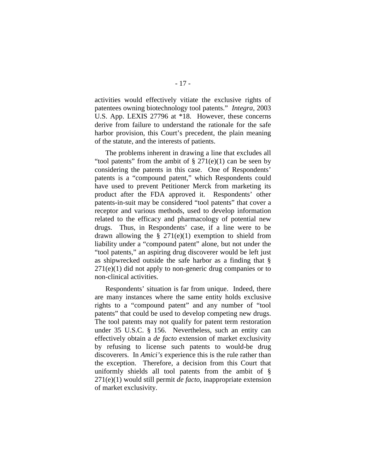activities would effectively vitiate the exclusive rights of patentees owning biotechnology tool patents." *Integra,* 2003 U.S. App. LEXIS 27796 at \*18. However, these concerns derive from failure to understand the rationale for the safe harbor provision, this Court's precedent, the plain meaning of the statute, and the interests of patients.

The problems inherent in drawing a line that excludes all "tool patents" from the ambit of  $\S 271(e)(1)$  can be seen by considering the patents in this case. One of Respondents' patents is a "compound patent," which Respondents could have used to prevent Petitioner Merck from marketing its product after the FDA approved it. Respondents' other patents-in-suit may be considered "tool patents" that cover a receptor and various methods, used to develop information related to the efficacy and pharmacology of potential new drugs. Thus, in Respondents' case, if a line were to be drawn allowing the  $\S 271(e)(1)$  exemption to shield from liability under a "compound patent" alone, but not under the "tool patents," an aspiring drug discoverer would be left just as shipwrecked outside the safe harbor as a finding that §  $271(e)(1)$  did not apply to non-generic drug companies or to non-clinical activities.

Respondents' situation is far from unique. Indeed, there are many instances where the same entity holds exclusive rights to a "compound patent" and any number of "tool patents" that could be used to develop competing new drugs. The tool patents may not qualify for patent term restoration under 35 U.S.C. § 156. Nevertheless, such an entity can effectively obtain a *de facto* extension of market exclusivity by refusing to license such patents to would-be drug discoverers. In *Amici's* experience this is the rule rather than the exception. Therefore, a decision from this Court that uniformly shields all tool patents from the ambit of § 271(e)(1) would still permit *de facto*, inappropriate extension of market exclusivity.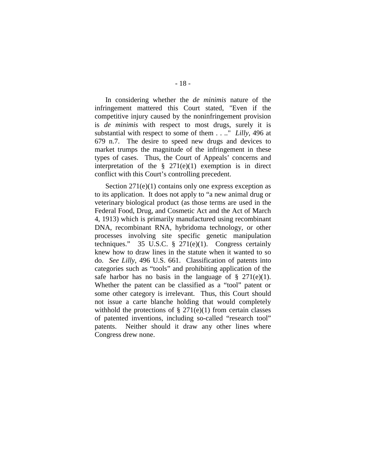In considering whether the *de minimis* nature of the infringement mattered this Court stated, "Even if the competitive injury caused by the noninfringement provision is *de minimis* with respect to most drugs, surely it is substantial with respect to some of them . . .." *Lilly,* 496 at 679 n.7. The desire to speed new drugs and devices to market trumps the magnitude of the infringement in these types of cases. Thus, the Court of Appeals' concerns and interpretation of the  $\S$  271(e)(1) exemption is in direct conflict with this Court's controlling precedent.

Section 271(e)(1) contains only one express exception as to its application. It does not apply to "a new animal drug or veterinary biological product (as those terms are used in the Federal Food, Drug, and Cosmetic Act and the Act of March 4, 1913) which is primarily manufactured using recombinant DNA, recombinant RNA, hybridoma technology, or other processes involving site specific genetic manipulation techniques." 35 U.S.C.  $\S$  271(e)(1). Congress certainly knew how to draw lines in the statute when it wanted to so do. *See Lilly*, 496 U.S. 661. Classification of patents into categories such as "tools" and prohibiting application of the safe harbor has no basis in the language of  $\S$  271(e)(1). Whether the patent can be classified as a "tool" patent or some other category is irrelevant. Thus, this Court should not issue a carte blanche holding that would completely withhold the protections of  $\S 271(e)(1)$  from certain classes of patented inventions, including so-called "research tool" patents. Neither should it draw any other lines where Congress drew none.